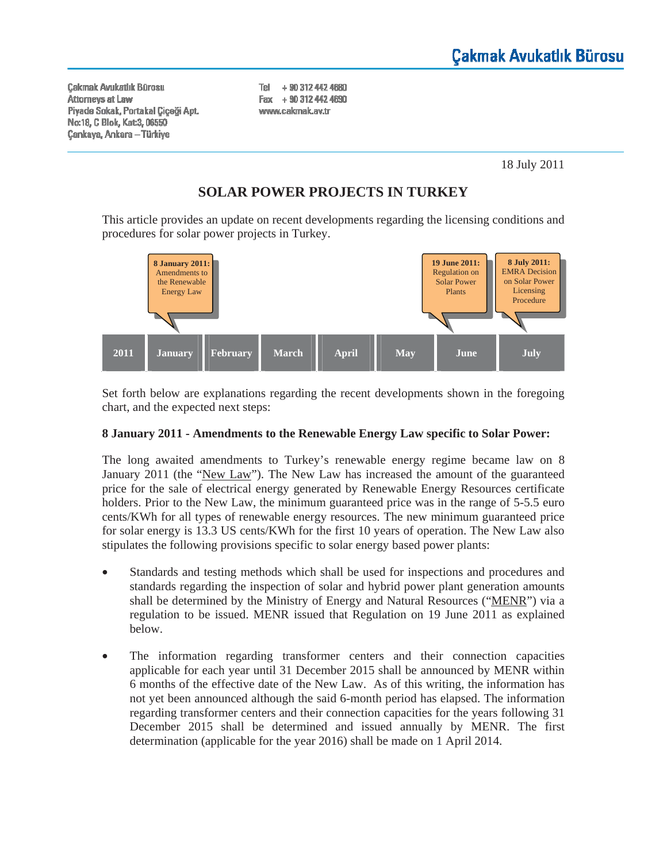**Cakmak Avukatlık Bürosu** Attorneys at Law Piyade Sokak, Portakal Çiçeği Apt. Nα 18, C Blok, Kat 3, 06550 **Çankaya, Ankara - Türkiye** 

Tel + 90 312 442 4680 Fax + 90 312 442 4690 www.cakmak.av.tr

18 July 2011

# **SOLAR POWER PROJECTS IN TURKEY**

This article provides an update on recent developments regarding the licensing conditions and procedures for solar power projects in Turkey.



Set forth below are explanations regarding the recent developments shown in the foregoing chart, and the expected next steps:

## **8 January 2011 - Amendments to the Renewable Energy Law specific to Solar Power:**

The long awaited amendments to Turkey's renewable energy regime became law on 8 January 2011 (the "New Law"). The New Law has increased the amount of the guaranteed price for the sale of electrical energy generated by Renewable Energy Resources certificate holders. Prior to the New Law, the minimum guaranteed price was in the range of 5-5.5 euro cents/KWh for all types of renewable energy resources. The new minimum guaranteed price for solar energy is 13.3 US cents/KWh for the first 10 years of operation. The New Law also stipulates the following provisions specific to solar energy based power plants:

- Standards and testing methods which shall be used for inspections and procedures and standards regarding the inspection of solar and hybrid power plant generation amounts shall be determined by the Ministry of Energy and Natural Resources ("MENR") via a regulation to be issued. MENR issued that Regulation on 19 June 2011 as explained below.
- The information regarding transformer centers and their connection capacities applicable for each year until 31 December 2015 shall be announced by MENR within 6 months of the effective date of the New Law. As of this writing, the information has not yet been announced although the said 6-month period has elapsed. The information regarding transformer centers and their connection capacities for the years following 31 December 2015 shall be determined and issued annually by MENR. The first determination (applicable for the year 2016) shall be made on 1 April 2014.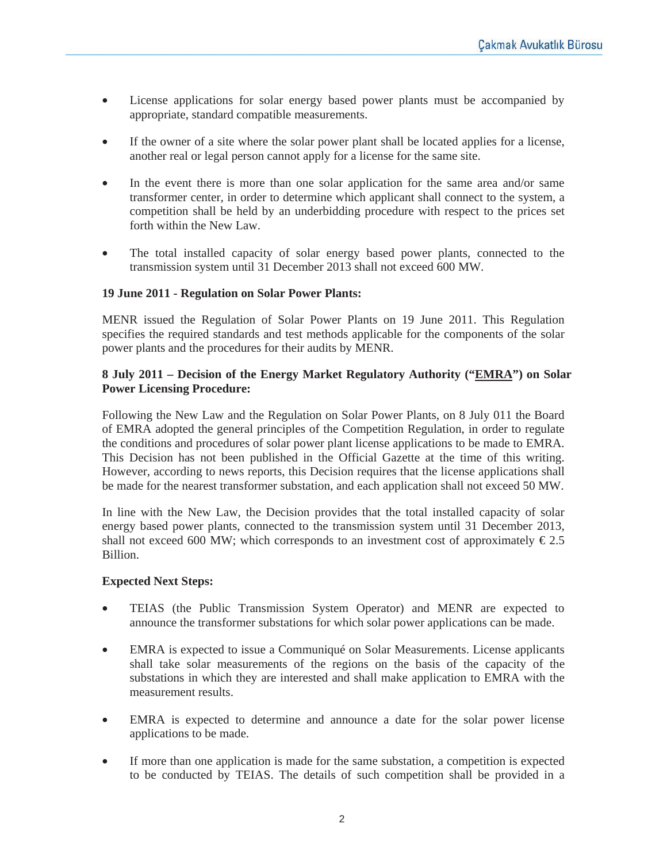- License applications for solar energy based power plants must be accompanied by appropriate, standard compatible measurements.
- If the owner of a site where the solar power plant shall be located applies for a license, another real or legal person cannot apply for a license for the same site.
- In the event there is more than one solar application for the same area and/or same transformer center, in order to determine which applicant shall connect to the system, a competition shall be held by an underbidding procedure with respect to the prices set forth within the New Law.
- The total installed capacity of solar energy based power plants, connected to the transmission system until 31 December 2013 shall not exceed 600 MW.

### **19 June 2011 - Regulation on Solar Power Plants:**

MENR issued the Regulation of Solar Power Plants on 19 June 2011. This Regulation specifies the required standards and test methods applicable for the components of the solar power plants and the procedures for their audits by MENR.

### **8 July 2011 – Decision of the Energy Market Regulatory Authority ("EMRA") on Solar Power Licensing Procedure:**

Following the New Law and the Regulation on Solar Power Plants, on 8 July 011 the Board of EMRA adopted the general principles of the Competition Regulation, in order to regulate the conditions and procedures of solar power plant license applications to be made to EMRA. This Decision has not been published in the Official Gazette at the time of this writing. However, according to news reports, this Decision requires that the license applications shall be made for the nearest transformer substation, and each application shall not exceed 50 MW.

In line with the New Law, the Decision provides that the total installed capacity of solar energy based power plants, connected to the transmission system until 31 December 2013, shall not exceed 600 MW; which corresponds to an investment cost of approximately  $\epsilon$ 2.5 Billion.

#### **Expected Next Steps:**

- TEIAS (the Public Transmission System Operator) and MENR are expected to announce the transformer substations for which solar power applications can be made.
- EMRA is expected to issue a Communiqué on Solar Measurements. License applicants shall take solar measurements of the regions on the basis of the capacity of the substations in which they are interested and shall make application to EMRA with the measurement results.
- EMRA is expected to determine and announce a date for the solar power license applications to be made.
- If more than one application is made for the same substation, a competition is expected to be conducted by TEIAS. The details of such competition shall be provided in a